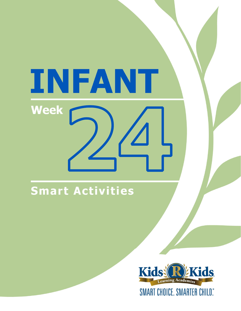# INFANT **Week**

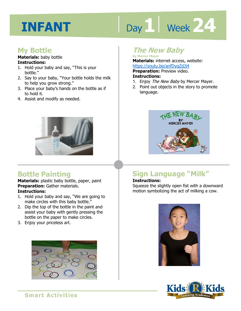# Day 1 Week 24

### **My Bottle**

#### **Materials:** baby bottle **Instructions:**

- 1. Hold your baby and say, "This is your bottle."
- 2. Say to your baby, "Your bottle holds the milk to help you grow strong."
- 3. Place your baby's hands on the bottle as if to hold it.
- 4. Assist and modify as needed.



# **Bottle Painting**

**Materials:** plastic baby bottle, paper, paint **Preparation:** Gather materials. **Instructions:** 

- 1. Hold your baby and say, "We are going to make circles with this baby bottle."
- 2. Dip the top of the bottle in the paint and assist your baby with gently pressing the bottle on the paper to make circles.
- 3. Enjoy your priceless art.



# **The New Baby**

**by Mercer Mayer Materials:** internet access, website:

**1 4**  https://youtu.be/anfDyqZdJj4 **Preparation:** Preview video. **Instructions:** 

- 1. Enjoy The New Baby by Mercer Mayer.
- 2. Point out objects in the story to promote language.



# **Sign Language "Milk"**

#### **Instructions:**

Squeeze the slightly open fist with a downward motion symbolizing the act of milking a cow.



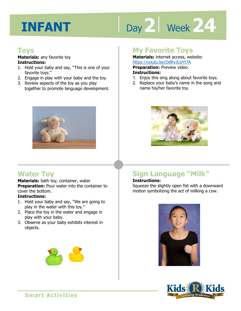# Day 2 | Week 24

#### **Toys**

**Materials:** any favorite toy **Instructions:** 

- 1. Hold your baby and say, "This is one of your favorite toys."
- 2. Engage in play with your baby and the toy.
- 3. Review aspects of the toy as you play together to promote language development.



# **Water Toy**

**Materials:** bath toy, container, water **Preparation:** Pour water into the container to cover the bottom.

#### **Instructions:**

- 1. Hold your baby and say, "We are going to play in the water with this toy."
- 2. Place the toy in the water and engage in play with your baby.
- 3. Observe as your baby exhibits interest in objects.

### **My Favorite Toys**

**Materials:** internet access, website: https://youtu.be/DdRvJLbYt7A

**1 4**  1. Enjoy this sing along about favorite toys. **Preparation:** Preview video. **Instructions:** 

- 
- 2. Replace your baby's name in the song and name his/her favorite toy.



# **Sign Language "Milk"**

#### **Instructions:**

Squeeze the slightly open fist with a downward motion symbolizing the act of milking a cow.



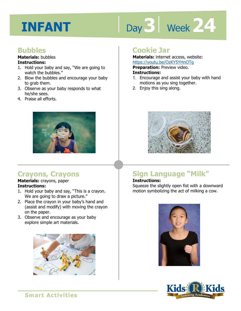# Day 3 | Week 24

### **Bubbles**

#### **Materials:** bubbles **Instructions:**

- 1. Hold your baby and say, "We are going to watch the bubbles."
- 2. Blow the bubbles and encourage your baby to grab them.
- 3. Observe as your baby responds to what he/she sees.
- 4. Praise all efforts.



# **Crayons, Crayons**

#### **Materials:** crayons, paper **Instructions:**

- 1. Hold your baby and say, "This is a crayon. We are going to draw a picture."
- 2. Place the crayon in your baby's hand and (assist and modify) with moving the crayon on the paper.
- 3. Observe and encourage as your baby explore simple art materials.



## **Cookie Jar**

**Materials:** internet access, website: https://youtu.be/OzKY5YHnOTg

**Preparation:** Preview video.

#### **Instructions:**

- **IRCDS.//YOULLI.DE/OZNTSTIFIOTY**<br>**Preparation:** Preview video.<br>**Instructions:**<br>1. Encourage and assist your baby with hand motions as you sing together.
- 2. Enjoy this sing along.



# **Sign Language "Milk"**

#### **Instructions:**

Squeeze the slightly open fist with a downward motion symbolizing the act of milking a cow.



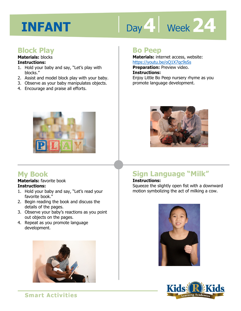# Day 4 **Week 24**

### **Block Play**

#### **Materials:** blocks **Instructions:**

- 1. Hold your baby and say, "Let's play with blocks."
- 2. Assist and model block play with your baby.
- 3. Observe as your baby manipulates objects.
- 4. Encourage and praise all efforts.



**Materials:** internet access, website: https://youtu.be/oQ1X7qc9sSs **Preparation:** Preview video.

**Instructions:** 

<u>IRtps.//youtd.be/0QTA/qe9333</u><br>**Preparation:** Preview video.<br>**Instructions:**<br>Enjoy Little Bo Peep nursery rhyme as you promote language development.



# **My Book**

#### **Materials:** favorite book **Instructions:**

- 1. Hold your baby and say, "Let's read your favorite book."
- 2. Begin reading the book and discuss the details of the pages.
- 3. Observe your baby's reactions as you point out objects on the pages.
- 4. Repeat as you promote language development.





# **Sign Language "Milk"**

#### **Instructions:**

Squeeze the slightly open fist with a downward motion symbolizing the act of milking a cow.